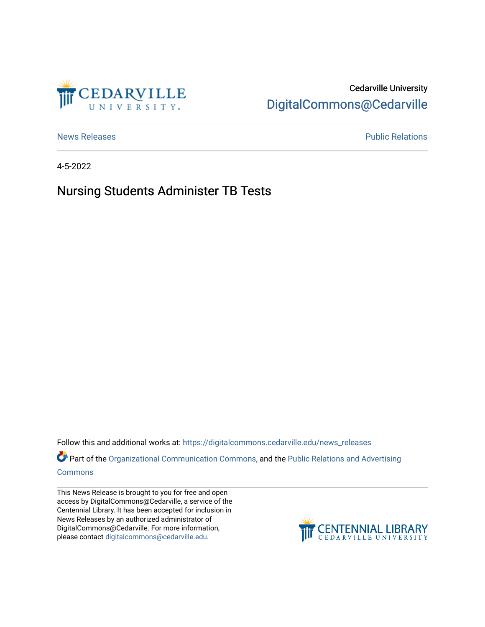

## Cedarville University [DigitalCommons@Cedarville](https://digitalcommons.cedarville.edu/)

[News Releases](https://digitalcommons.cedarville.edu/news_releases) **Public Relations Public Relations** 

4-5-2022

## Nursing Students Administer TB Tests

Follow this and additional works at: [https://digitalcommons.cedarville.edu/news\\_releases](https://digitalcommons.cedarville.edu/news_releases?utm_source=digitalcommons.cedarville.edu%2Fnews_releases%2F1529&utm_medium=PDF&utm_campaign=PDFCoverPages) 

Part of the [Organizational Communication Commons](http://network.bepress.com/hgg/discipline/335?utm_source=digitalcommons.cedarville.edu%2Fnews_releases%2F1529&utm_medium=PDF&utm_campaign=PDFCoverPages), and the Public Relations and Advertising [Commons](http://network.bepress.com/hgg/discipline/336?utm_source=digitalcommons.cedarville.edu%2Fnews_releases%2F1529&utm_medium=PDF&utm_campaign=PDFCoverPages)

This News Release is brought to you for free and open access by DigitalCommons@Cedarville, a service of the Centennial Library. It has been accepted for inclusion in News Releases by an authorized administrator of DigitalCommons@Cedarville. For more information, please contact [digitalcommons@cedarville.edu](mailto:digitalcommons@cedarville.edu).

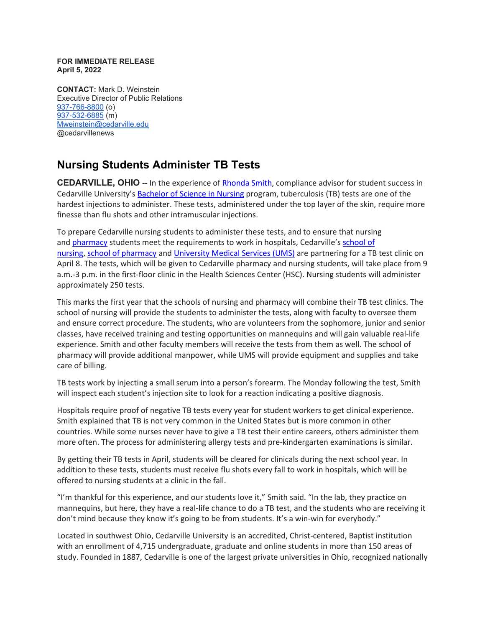## **FOR IMMEDIATE RELEASE April 5, 2022**

**CONTACT:** Mark D. Weinstein Executive Director of Public Relations [937-766-8800](tel:937-766-8800) (o) [937-532-6885](tel:937-532-6885) (m) [Mweinstein@cedarville.edu](mailto:Mweinstein@cedarville.edu) @cedarvillenews

## **Nursing Students Administer TB Tests**

**CEDARVILLE, OHIO --** In the experience of [Rhonda Smith,](https://www.cedarville.edu/academic-schools-and-departments/nursing/undergraduate/faculty-staff/smith-rhonda) compliance advisor for student success in Cedarville University's [Bachelor of Science in Nursing](https://www.cedarville.edu/academic-schools-and-departments/nursing/undergraduate) program, tuberculosis (TB) tests are one of the hardest injections to administer. These tests, administered under the top layer of the skin, require more finesse than flu shots and other intramuscular injections.

To prepare Cedarville nursing students to administer these tests, and to ensure that nursing and [pharmacy](https://www.cedarville.edu/academic-programs/doctor-of-pharmacy) students meet the requirements to work in hospitals, Cedarville's [school of](https://www.cedarville.edu/academic-schools-and-departments/nursing)  [nursing,](https://www.cedarville.edu/academic-schools-and-departments/nursing) [school of pharmacy](https://www.cedarville.edu/academic-schools-and-departments/pharmacy) and [University Medical Services \(UMS\)](https://www.cedarville.edu/offices/university-medical-services) are partnering for a TB test clinic on April 8. The tests, which will be given to Cedarville pharmacy and nursing students, will take place from 9 a.m.-3 p.m. in the first-floor clinic in the Health Sciences Center (HSC). Nursing students will administer approximately 250 tests.

This marks the first year that the schools of nursing and pharmacy will combine their TB test clinics. The school of nursing will provide the students to administer the tests, along with faculty to oversee them and ensure correct procedure. The students, who are volunteers from the sophomore, junior and senior classes, have received training and testing opportunities on mannequins and will gain valuable real-life experience. Smith and other faculty members will receive the tests from them as well. The school of pharmacy will provide additional manpower, while UMS will provide equipment and supplies and take care of billing.

TB tests work by injecting a small serum into a person's forearm. The Monday following the test, Smith will inspect each student's injection site to look for a reaction indicating a positive diagnosis.

Hospitals require proof of negative TB tests every year for student workers to get clinical experience. Smith explained that TB is not very common in the United States but is more common in other countries. While some nurses never have to give a TB test their entire careers, others administer them more often. The process for administering allergy tests and pre-kindergarten examinations is similar.

By getting their TB tests in April, students will be cleared for clinicals during the next school year. In addition to these tests, students must receive flu shots every fall to work in hospitals, which will be offered to nursing students at a clinic in the fall.

"I'm thankful for this experience, and our students love it," Smith said. "In the lab, they practice on mannequins, but here, they have a real-life chance to do a TB test, and the students who are receiving it don't mind because they know it's going to be from students. It's a win-win for everybody."

Located in southwest Ohio, Cedarville University is an accredited, Christ-centered, Baptist institution with an enrollment of 4,715 undergraduate, graduate and online students in more than 150 areas of study. Founded in 1887, Cedarville is one of the largest private universities in Ohio, recognized nationally